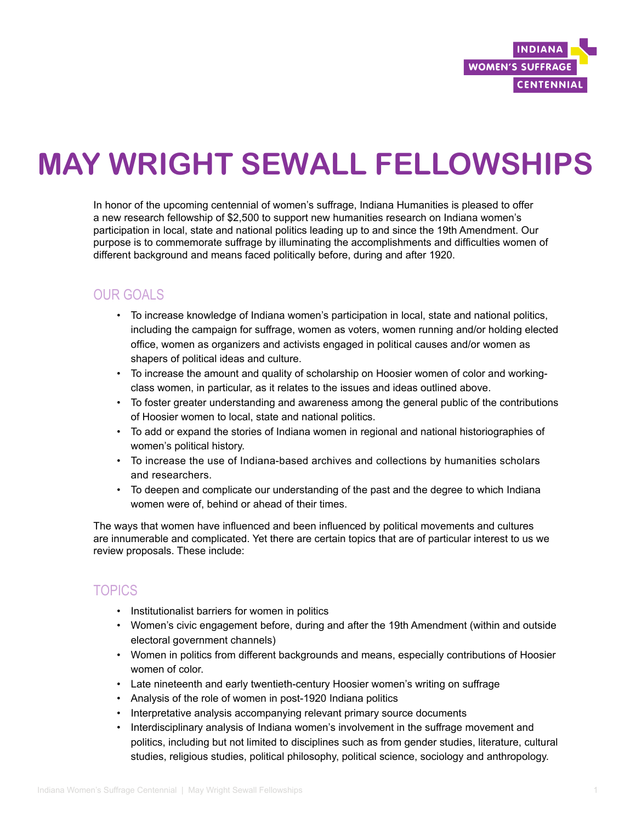

# **MAY WRIGHT SEWALL FELLOWSHIPS**

In honor of the upcoming centennial of women's suffrage, Indiana Humanities is pleased to offer a new research fellowship of \$2,500 to support new humanities research on Indiana women's participation in local, state and national politics leading up to and since the 19th Amendment. Our purpose is to commemorate suffrage by illuminating the accomplishments and difficulties women of different background and means faced politically before, during and after 1920.

## OUR GOALS

- To increase knowledge of Indiana women's participation in local, state and national politics, including the campaign for suffrage, women as voters, women running and/or holding elected office, women as organizers and activists engaged in political causes and/or women as shapers of political ideas and culture.
- To increase the amount and quality of scholarship on Hoosier women of color and workingclass women, in particular, as it relates to the issues and ideas outlined above.
- To foster greater understanding and awareness among the general public of the contributions of Hoosier women to local, state and national politics.
- To add or expand the stories of Indiana women in regional and national historiographies of women's political history.
- To increase the use of Indiana-based archives and collections by humanities scholars and researchers.
- To deepen and complicate our understanding of the past and the degree to which Indiana women were of, behind or ahead of their times.

The ways that women have influenced and been influenced by political movements and cultures are innumerable and complicated. Yet there are certain topics that are of particular interest to us we review proposals. These include:

# TOPICS

- Institutionalist barriers for women in politics
- Women's civic engagement before, during and after the 19th Amendment (within and outside electoral government channels)
- Women in politics from different backgrounds and means, especially contributions of Hoosier women of color.
- Late nineteenth and early twentieth-century Hoosier women's writing on suffrage
- Analysis of the role of women in post-1920 Indiana politics
- Interpretative analysis accompanying relevant primary source documents
- Interdisciplinary analysis of Indiana women's involvement in the suffrage movement and politics, including but not limited to disciplines such as from gender studies, literature, cultural studies, religious studies, political philosophy, political science, sociology and anthropology.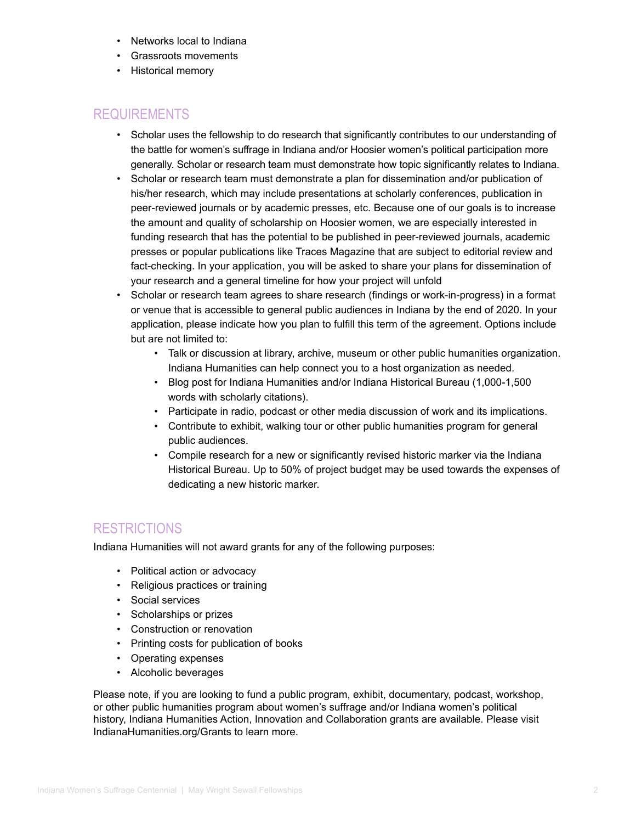- Networks local to Indiana
- Grassroots movements
- Historical memory

### REQUIREMENTS

- Scholar uses the fellowship to do research that significantly contributes to our understanding of the battle for women's suffrage in Indiana and/or Hoosier women's political participation more generally. Scholar or research team must demonstrate how topic significantly relates to Indiana.
- Scholar or research team must demonstrate a plan for dissemination and/or publication of his/her research, which may include presentations at scholarly conferences, publication in peer-reviewed journals or by academic presses, etc. Because one of our goals is to increase the amount and quality of scholarship on Hoosier women, we are especially interested in funding research that has the potential to be published in peer-reviewed journals, academic presses or popular publications like Traces Magazine that are subject to editorial review and fact-checking. In your application, you will be asked to share your plans for dissemination of your research and a general timeline for how your project will unfold
- Scholar or research team agrees to share research (findings or work-in-progress) in a format or venue that is accessible to general public audiences in Indiana by the end of 2020. In your application, please indicate how you plan to fulfill this term of the agreement. Options include but are not limited to:
	- Talk or discussion at library, archive, museum or other public humanities organization. Indiana Humanities can help connect you to a host organization as needed.
	- Blog post for Indiana Humanities and/or Indiana Historical Bureau (1,000-1,500 words with scholarly citations).
	- Participate in radio, podcast or other media discussion of work and its implications.
	- Contribute to exhibit, walking tour or other public humanities program for general public audiences.
	- Compile research for a new or significantly revised historic marker via the Indiana Historical Bureau. Up to 50% of project budget may be used towards the expenses of dedicating a new historic marker.

## **RESTRICTIONS**

Indiana Humanities will not award grants for any of the following purposes:

- Political action or advocacy
- Religious practices or training
- Social services
- Scholarships or prizes
- Construction or renovation
- Printing costs for publication of books
- Operating expenses
- Alcoholic beverages

Please note, if you are looking to fund a public program, exhibit, documentary, podcast, workshop, or other public humanities program about women's suffrage and/or Indiana women's political history, Indiana Humanities Action, Innovation and Collaboration grants are available. Please visit IndianaHumanities.org/Grants to learn more.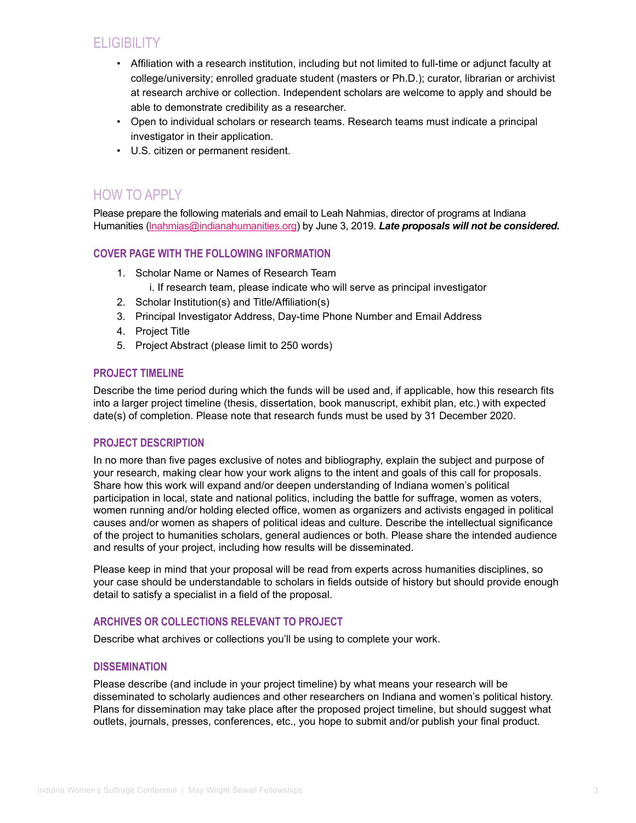# **ELIGIBILITY**

- Affiliation with a research institution, including but not limited to full-time or adjunct faculty at college/university; enrolled graduate student (masters or Ph.D.); curator, librarian or archivist at research archive or collection. Independent scholars are welcome to apply and should be able to demonstrate credibility as a researcher.
- Open to individual scholars or research teams. Research teams must indicate a principal investigator in their application.
- U.S. citizen or permanent resident.

# HOW TO APPLY

Please prepare the following materials and email to Leah Nahmias, director of programs at Indiana Humanities (*Inahmias@indianahumanities.org*) by June 3, 2019. Late proposals will not be considered.

#### **COVER PAGE WITH THE FOLLOWING INFORMATION**

- 1. Scholar Name or Names of Research Team
	- i. If research team, please indicate who will serve as principal investigator
- 2. Scholar Institution(s) and Title/Affiliation(s)
- 3. Principal Investigator Address, Day-time Phone Number and Email Address
- 4. Project Title
- 5. Project Abstract (please limit to 250 words)

#### **PROJECT TIMELINE**

Describe the time period during which the funds will be used and, if applicable, how this research fits into a larger project timeline (thesis, dissertation, book manuscript, exhibit plan, etc.) with expected date(s) of completion. Please note that research funds must be used by 31 December 2020.

#### **PROJECT DESCRIPTION**

In no more than five pages exclusive of notes and bibliography, explain the subject and purpose of your research, making clear how your work aligns to the intent and goals of this call for proposals. Share how this work will expand and/or deepen understanding of Indiana women's political participation in local, state and national politics, including the battle for suffrage, women as voters, women running and/or holding elected office, women as organizers and activists engaged in political causes and/or women as shapers of political ideas and culture. Describe the intellectual significance of the project to humanities scholars, general audiences or both. Please share the intended audience and results of your project, including how results will be disseminated.

Please keep in mind that your proposal will be read from experts across humanities disciplines, so your case should be understandable to scholars in fields outside of history but should provide enough detail to satisfy a specialist in a field of the proposal.

#### **ARCHIVES OR COLLECTIONS RELEVANT TO PROJECT**

Describe what archives or collections you'll be using to complete your work.

#### **DISSEMINATION**

Please describe (and include in your project timeline) by what means your research will be disseminated to scholarly audiences and other researchers on Indiana and women's political history. Plans for dissemination may take place after the proposed project timeline, but should suggest what outlets, journals, presses, conferences, etc., you hope to submit and/or publish your final product.